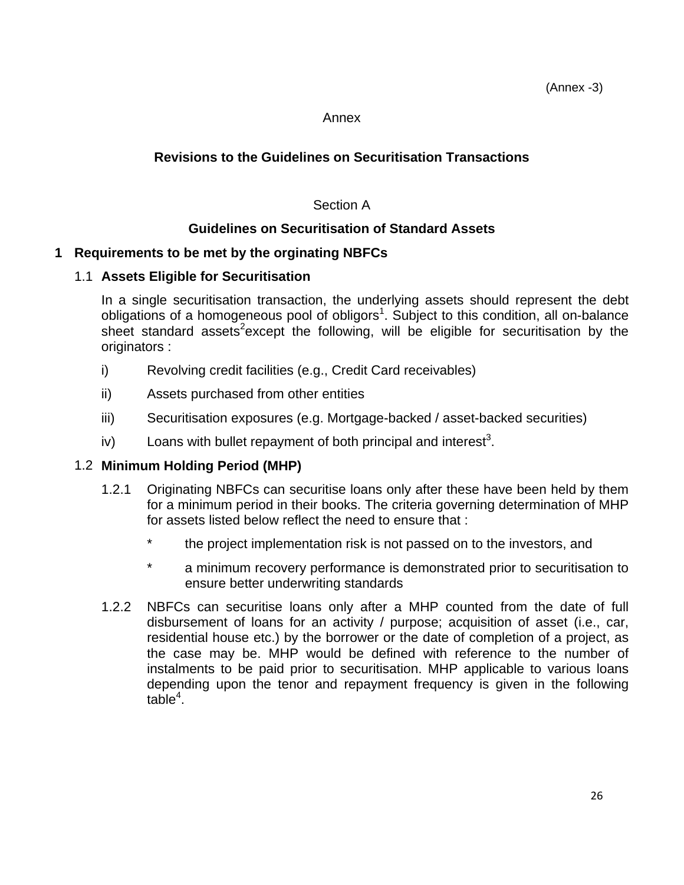#### Annex

## **Revisions to the Guidelines on Securitisation Transactions**

#### Section A

## **Guidelines on Securitisation of Standard Assets**

#### **1 Requirements to be met by the orginating NBFCs**

#### 1.1 **Assets Eligible for Securitisation**

 In a single securitisation transaction, the underlying assets should represent the debt obligations of a homogeneous pool of obligors<sup>1</sup>. Subject to this condition, all on-balance sheet standard assets<sup>2</sup>except the following, will be eligible for securitisation by the originators :

- i) Revolving credit facilities (e.g., Credit Card receivables)
- ii) Assets purchased from other entities
- iii) Securitisation exposures (e.g. Mortgage-backed / asset-backed securities)
- iv) Loans with bullet repayment of both principal and interest<sup>3</sup>.

#### 1.2 **Minimum Holding Period (MHP)**

- 1.2.1 Originating NBFCs can securitise loans only after these have been held by them for a minimum period in their books. The criteria governing determination of MHP for assets listed below reflect the need to ensure that :
	- the project implementation risk is not passed on to the investors, and
	- \* a minimum recovery performance is demonstrated prior to securitisation to ensure better underwriting standards
- 1.2.2 NBFCs can securitise loans only after a MHP counted from the date of full disbursement of loans for an activity / purpose; acquisition of asset (i.e., car, residential house etc.) by the borrower or the date of completion of a project, as the case may be. MHP would be defined with reference to the number of instalments to be paid prior to securitisation. MHP applicable to various loans depending upon the tenor and repayment frequency is given in the following  $table<sup>4</sup>$ .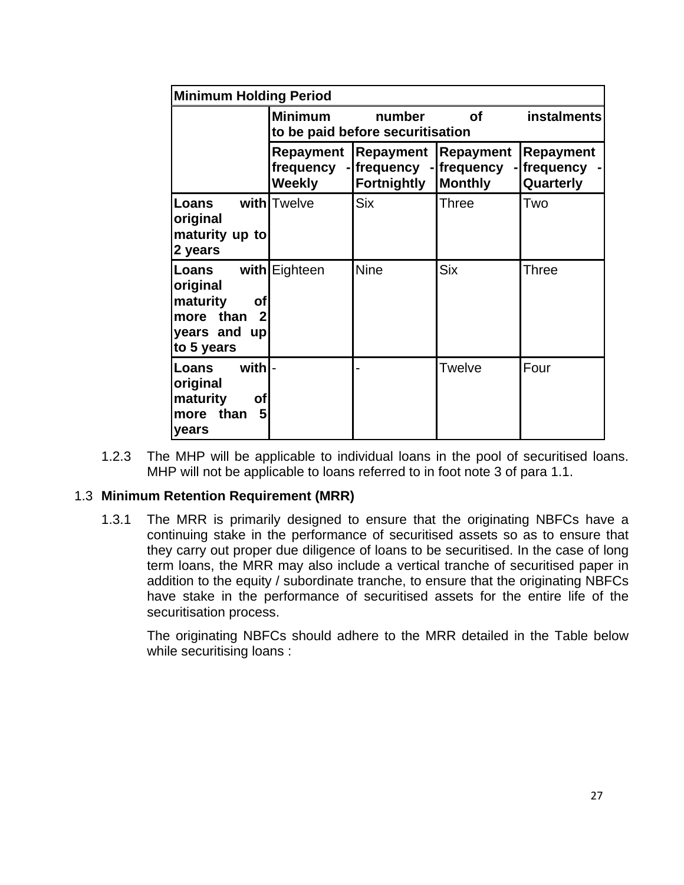|                                                                                                       | <b>Minimum Holding Period</b> |                                                                                    |                |                                              |  |  |  |
|-------------------------------------------------------------------------------------------------------|-------------------------------|------------------------------------------------------------------------------------|----------------|----------------------------------------------|--|--|--|
|                                                                                                       | <b>Minimum</b>                | number<br>to be paid before securitisation                                         | Οf             | <i>instalments</i>                           |  |  |  |
|                                                                                                       | frequency<br><b>Weekly</b>    | Repayment   Repayment   Repayment<br>- frequency - frequency<br><b>Fortnightly</b> | <b>Monthly</b> | <b>Repayment</b><br>- frequency<br>Quarterly |  |  |  |
| Loans<br>original<br>maturity up to<br>2 years                                                        | with Twelve                   | <b>Six</b>                                                                         | <b>Three</b>   | Two                                          |  |  |  |
| Loans<br>original<br>maturity<br><b>of</b><br>$\mathbf{2}$<br>more than<br>years and up<br>to 5 years | with Eighteen                 | <b>Nine</b>                                                                        | <b>Six</b>     | Three                                        |  |  |  |
| with -<br>Loans<br>original<br>maturity<br>of<br>$5\overline{)}$<br>than<br>more<br>years             |                               |                                                                                    | Twelve         | Four                                         |  |  |  |

 1.2.3 The MHP will be applicable to individual loans in the pool of securitised loans. MHP will not be applicable to loans referred to in foot note 3 of para 1.1.

#### 1.3 **Minimum Retention Requirement (MRR)**

 1.3.1 The MRR is primarily designed to ensure that the originating NBFCs have a continuing stake in the performance of securitised assets so as to ensure that they carry out proper due diligence of loans to be securitised. In the case of long term loans, the MRR may also include a vertical tranche of securitised paper in addition to the equity / subordinate tranche, to ensure that the originating NBFCs have stake in the performance of securitised assets for the entire life of the securitisation process.

 The originating NBFCs should adhere to the MRR detailed in the Table below while securitising loans :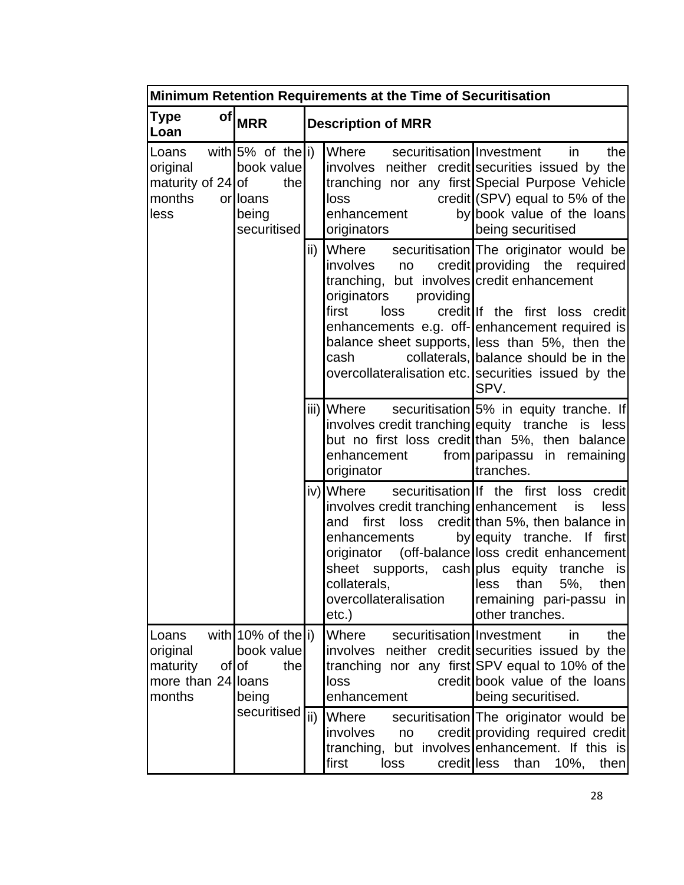|                                                               | Minimum Retention Requirements at the Time of Securitisation                   |  |                                                                                                                                                                      |                                                                                                                                                                                                                                                                                                                       |  |  |  |  |  |  |
|---------------------------------------------------------------|--------------------------------------------------------------------------------|--|----------------------------------------------------------------------------------------------------------------------------------------------------------------------|-----------------------------------------------------------------------------------------------------------------------------------------------------------------------------------------------------------------------------------------------------------------------------------------------------------------------|--|--|--|--|--|--|
| of<br>Type<br>Loan                                            | <b>MRR</b>                                                                     |  | <b>Description of MRR</b>                                                                                                                                            |                                                                                                                                                                                                                                                                                                                       |  |  |  |  |  |  |
| Loans<br>original<br>maturity of $24$ of<br>months<br>less    | with $5\%$ of the i)<br>book value<br>thel<br>orlloans<br>being<br>securitised |  | Where<br>securitisation Investment<br>loss<br>enhancement<br>originators                                                                                             | the<br>in<br>involves neither credit securities issued by the<br>tranching nor any first Special Purpose Vehicle<br>credit $(SPV)$ equal to 5% of the<br>by book value of the loans<br>being securitised                                                                                                              |  |  |  |  |  |  |
|                                                               |                                                                                |  | ii) ∥Where<br>involves<br>no<br>tranching, but involves credit enhancement<br>providing<br>originators<br>first<br>loss<br>cash                                      | securitisation The originator would be<br>credit providing the required<br>credit If the first loss credit<br>enhancements e.g. off-enhancement required is<br>balance sheet supports, less than 5%, then the<br>collaterals, balance should be in the<br>overcollateralisation etc. securities issued by the<br>SPV. |  |  |  |  |  |  |
|                                                               |                                                                                |  | iii) Where<br>enhancement<br>originator                                                                                                                              | securitisation 5% in equity tranche. If<br>involves credit tranching equity tranche is less<br>but no first loss credit than 5%, then balance<br>from paripassu in remaining<br>tranches.                                                                                                                             |  |  |  |  |  |  |
|                                                               |                                                                                |  | iv) Where<br>involves credit tranching enhancement<br>and first loss<br>enhancements<br>originator<br>collaterals, collaterals,<br>overcollateralisation<br>$etc.$ ) | securitisation If the first loss credit<br>is<br>less<br>credit than 5%, then balance in<br>by equity tranche. If first<br>(off-balance loss credit enhancement)<br>sheet supports, cash plus equity tranche is<br>$\parallel$ less than 5%, then<br>remaining pari-passu in<br>other tranches.                       |  |  |  |  |  |  |
| Loans<br>original<br>maturity<br>more than 24 loans<br>months | with $10\%$ of the i)<br>book value<br>ofof<br>the<br>being                    |  | <b>Where</b><br>securitisation Investment<br>loss<br>enhancement                                                                                                     | thel<br>in<br>involves neither credit securities issued by the<br>tranching nor any first SPV equal to 10% of the<br>credit book value of the loans<br>being securitised.                                                                                                                                             |  |  |  |  |  |  |
|                                                               | securitised $\sqrt{\text{ii}}$                                                 |  | <b>Where</b><br>involves<br>no<br>first<br>loss                                                                                                                      | securitisation The originator would be<br>credit providing required credit<br>tranching, but involves enhancement. If this is<br>credit less<br>than<br>10%,<br>then                                                                                                                                                  |  |  |  |  |  |  |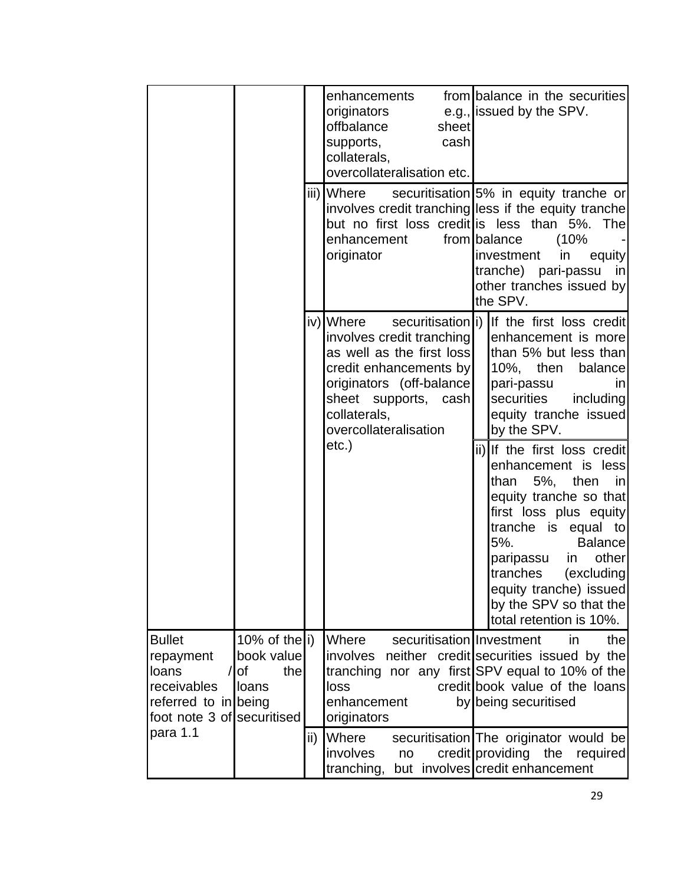|                                                                                                          |                                                   |               | enhancements<br>originators<br>offbalance<br>sheet<br>supports,<br>cash<br>collaterals,<br>overcollateralisation etc.<br>iii)∥Where<br>enhancement<br>originator                           | from balance in the securities<br>e.g., issued by the SPV.<br>securitisation 5% in equity tranche or<br>involves credit tranching less if the equity tranche<br>but no first loss credit is less than 5%. The<br>from balance<br>(10%<br>investment<br>in<br>equity<br>tranche) pari-passu<br>in<br>other tranches issued by<br>the SPV. |
|----------------------------------------------------------------------------------------------------------|---------------------------------------------------|---------------|--------------------------------------------------------------------------------------------------------------------------------------------------------------------------------------------|------------------------------------------------------------------------------------------------------------------------------------------------------------------------------------------------------------------------------------------------------------------------------------------------------------------------------------------|
|                                                                                                          |                                                   |               | iv) Where<br>involves credit tranching<br>as well as the first loss<br>credit enhancements by<br>originators (off-balance<br>sheet supports, cash<br>collaterals,<br>overcollateralisation | securitisation i) If the first loss credit<br>enhancement is more<br>than 5% but less than<br>10%, then<br>balance<br>pari-passu<br>in<br>securities<br>including<br>equity tranche issued<br>by the SPV.                                                                                                                                |
|                                                                                                          |                                                   |               | etc.)                                                                                                                                                                                      | ii) If the first loss credit<br>enhancement is less<br>than<br>5%, then in<br>equity tranche so that<br>first loss plus equity<br>tranche is equal to<br>5%.<br><b>Balance</b><br>other<br>paripassu in<br>tranches<br>(excluding<br>equity tranche) issued<br>by the SPV so that the<br>total retention is 10%.                         |
| <b>Bullet</b><br>repayment<br>loans<br>receivables<br>referred to in being<br>foot note 3 of securitised | 10% of the i)<br>book value<br>0f<br>the<br>loans |               | Where<br>securitisation Investment<br>loss<br>enhancement<br>originators                                                                                                                   | thel<br>in.<br>involves neither credit securities issued by the<br>tranching nor any first SPV equal to 10% of the<br>credit book value of the loans<br>by being securitised                                                                                                                                                             |
| para 1.1                                                                                                 |                                                   | $\mathsf{ii}$ | Where<br>involves<br>no<br>tranching,                                                                                                                                                      | securitisation The originator would be<br>credit providing the<br>required<br>but involves credit enhancement                                                                                                                                                                                                                            |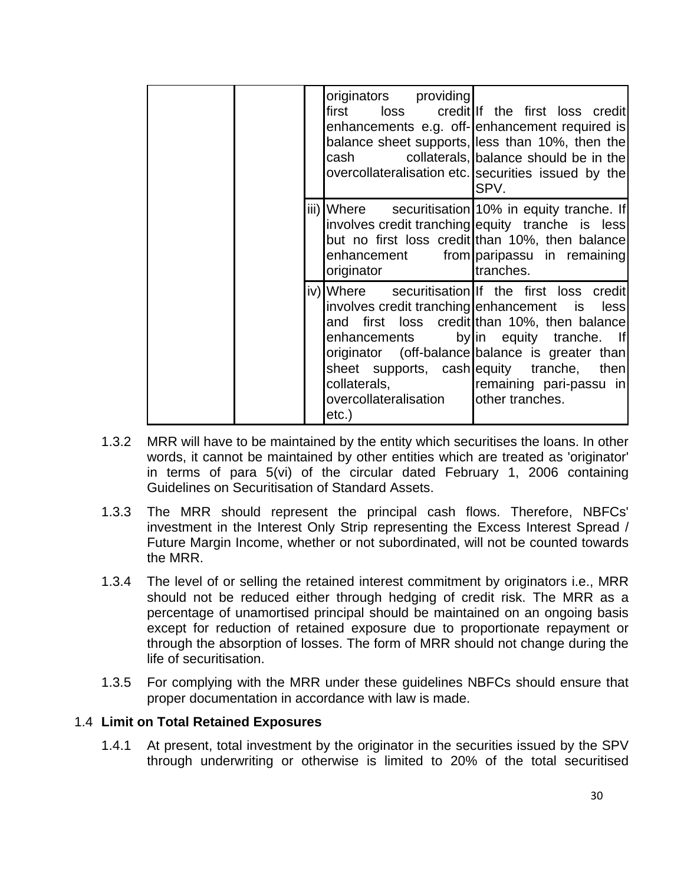|  | originators providing<br>cash                                | first loss credit If the first loss credit <br>enhancements e.g. off- enhancement required is<br>balance sheet supports, less than 10%, then the<br>collaterals, balance should be in the<br>overcollateralisation etc. securities issued by the<br>SPV.                                                                                     |
|--|--------------------------------------------------------------|----------------------------------------------------------------------------------------------------------------------------------------------------------------------------------------------------------------------------------------------------------------------------------------------------------------------------------------------|
|  | originator                                                   | iii) Where securitisation 10% in equity tranche. If<br>involves credit tranching equity tranche is less<br>but no first loss credit than 10%, then balance<br>enhancement from paripassu in remaining<br>tranches.                                                                                                                           |
|  | collaterals, manufacturers<br>overcollateralisation<br>etc.) | iv)  Where securitisation  If the first loss credit<br>involves credit tranching enhancement is less<br>and first loss credit than 10%, then balance<br>enhancements by in equity tranche. If<br>originator (off-balance balance is greater than<br>sheet supports, cash equity tranche, then<br>remaining pari-passu in<br>lother tranches. |

- 1.3.2 MRR will have to be maintained by the entity which securitises the loans. In other words, it cannot be maintained by other entities which are treated as 'originator' in terms of para 5(vi) of the circular dated February 1, 2006 containing Guidelines on Securitisation of Standard Assets.
- 1.3.3 The MRR should represent the principal cash flows. Therefore, NBFCs' investment in the Interest Only Strip representing the Excess Interest Spread / Future Margin Income, whether or not subordinated, will not be counted towards the MRR.
- 1.3.4 The level of or selling the retained interest commitment by originators i.e., MRR should not be reduced either through hedging of credit risk. The MRR as a percentage of unamortised principal should be maintained on an ongoing basis except for reduction of retained exposure due to proportionate repayment or through the absorption of losses. The form of MRR should not change during the life of securitisation.
- 1.3.5 For complying with the MRR under these guidelines NBFCs should ensure that proper documentation in accordance with law is made.

#### 1.4 **Limit on Total Retained Exposures**

 1.4.1 At present, total investment by the originator in the securities issued by the SPV through underwriting or otherwise is limited to 20% of the total securitised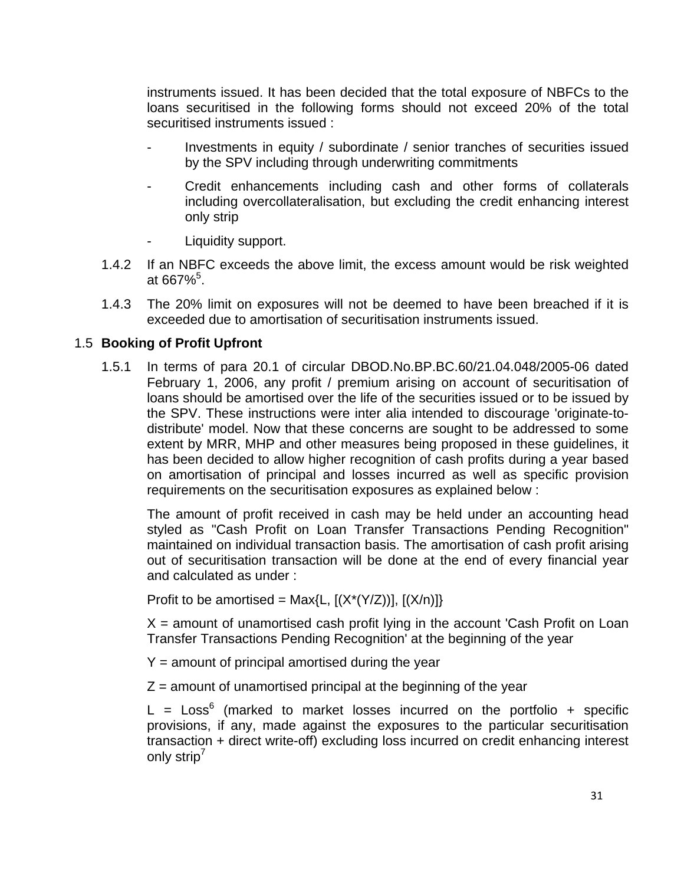instruments issued. It has been decided that the total exposure of NBFCs to the loans securitised in the following forms should not exceed 20% of the total securitised instruments issued :

- Investments in equity / subordinate / senior tranches of securities issued by the SPV including through underwriting commitments
- Credit enhancements including cash and other forms of collaterals including overcollateralisation, but excluding the credit enhancing interest only strip
- Liquidity support.
- 1.4.2 If an NBFC exceeds the above limit, the excess amount would be risk weighted at 667%<sup>5</sup>.
- 1.4.3 The 20% limit on exposures will not be deemed to have been breached if it is exceeded due to amortisation of securitisation instruments issued.

#### 1.5 **Booking of Profit Upfront**

 1.5.1 In terms of para 20.1 of circular DBOD.No.BP.BC.60/21.04.048/2005-06 dated February 1, 2006, any profit / premium arising on account of securitisation of loans should be amortised over the life of the securities issued or to be issued by the SPV. These instructions were inter alia intended to discourage 'originate-todistribute' model. Now that these concerns are sought to be addressed to some extent by MRR, MHP and other measures being proposed in these guidelines, it has been decided to allow higher recognition of cash profits during a year based on amortisation of principal and losses incurred as well as specific provision requirements on the securitisation exposures as explained below :

 The amount of profit received in cash may be held under an accounting head styled as "Cash Profit on Loan Transfer Transactions Pending Recognition" maintained on individual transaction basis. The amortisation of cash profit arising out of securitisation transaction will be done at the end of every financial year and calculated as under :

Profit to be amortised = Max $\{L, \lfloor (X^*(Y/Z)) \rfloor, \lfloor (X/n) \rfloor \}$ 

 $X =$  amount of unamortised cash profit lying in the account 'Cash Profit on Loan Transfer Transactions Pending Recognition' at the beginning of the year

- $Y =$  amount of principal amortised during the year
- $Z =$  amount of unamortised principal at the beginning of the year

L =  $Loss<sup>6</sup>$  (marked to market losses incurred on the portfolio + specific provisions, if any, made against the exposures to the particular securitisation transaction + direct write-off) excluding loss incurred on credit enhancing interest only strip<sup>7</sup>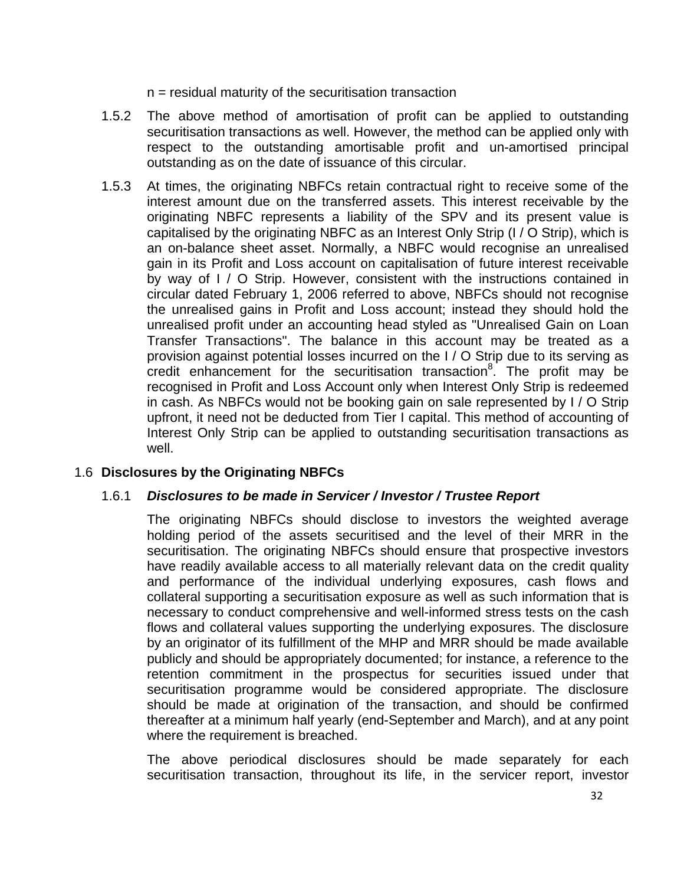$n =$  residual maturity of the securitisation transaction

- 1.5.2 The above method of amortisation of profit can be applied to outstanding securitisation transactions as well. However, the method can be applied only with respect to the outstanding amortisable profit and un-amortised principal outstanding as on the date of issuance of this circular.
- 1.5.3 At times, the originating NBFCs retain contractual right to receive some of the interest amount due on the transferred assets. This interest receivable by the originating NBFC represents a liability of the SPV and its present value is capitalised by the originating NBFC as an Interest Only Strip (I / O Strip), which is an on-balance sheet asset. Normally, a NBFC would recognise an unrealised gain in its Profit and Loss account on capitalisation of future interest receivable by way of I / O Strip. However, consistent with the instructions contained in circular dated February 1, 2006 referred to above, NBFCs should not recognise the unrealised gains in Profit and Loss account; instead they should hold the unrealised profit under an accounting head styled as "Unrealised Gain on Loan Transfer Transactions". The balance in this account may be treated as a provision against potential losses incurred on the I / O Strip due to its serving as credit enhancement for the securitisation transaction<sup>8</sup>. The profit may be recognised in Profit and Loss Account only when Interest Only Strip is redeemed in cash. As NBFCs would not be booking gain on sale represented by I / O Strip upfront, it need not be deducted from Tier I capital. This method of accounting of Interest Only Strip can be applied to outstanding securitisation transactions as well.

## 1.6 **Disclosures by the Originating NBFCs**

#### 1.6.1 *Disclosures to be made in Servicer / Investor / Trustee Report*

 The originating NBFCs should disclose to investors the weighted average holding period of the assets securitised and the level of their MRR in the securitisation. The originating NBFCs should ensure that prospective investors have readily available access to all materially relevant data on the credit quality and performance of the individual underlying exposures, cash flows and collateral supporting a securitisation exposure as well as such information that is necessary to conduct comprehensive and well-informed stress tests on the cash flows and collateral values supporting the underlying exposures. The disclosure by an originator of its fulfillment of the MHP and MRR should be made available publicly and should be appropriately documented; for instance, a reference to the retention commitment in the prospectus for securities issued under that securitisation programme would be considered appropriate. The disclosure should be made at origination of the transaction, and should be confirmed thereafter at a minimum half yearly (end-September and March), and at any point where the requirement is breached.

 The above periodical disclosures should be made separately for each securitisation transaction, throughout its life, in the servicer report, investor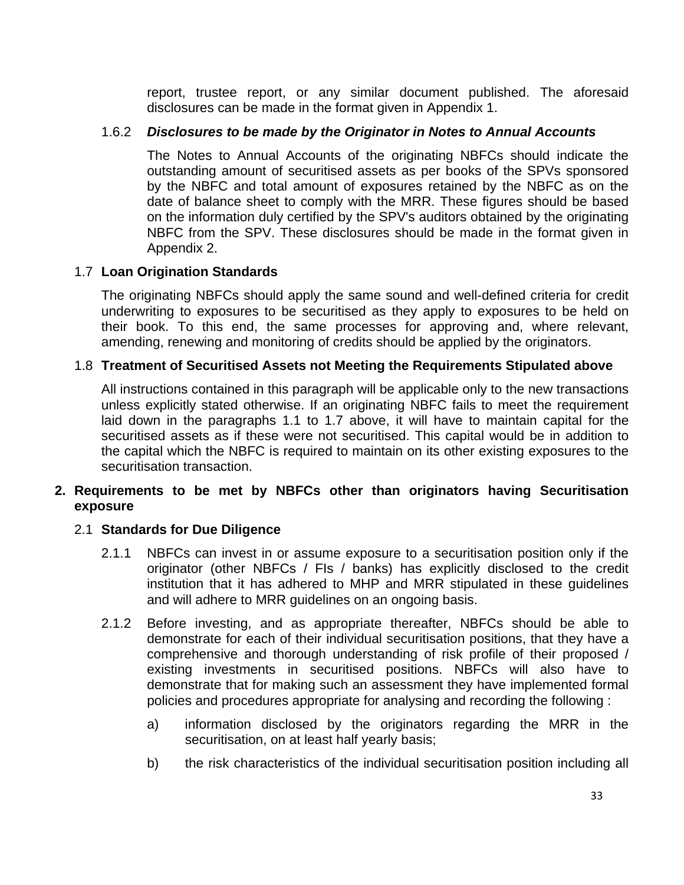report, trustee report, or any similar document published. The aforesaid disclosures can be made in the format given in Appendix 1.

#### 1.6.2 *Disclosures to be made by the Originator in Notes to Annual Accounts*

 The Notes to Annual Accounts of the originating NBFCs should indicate the outstanding amount of securitised assets as per books of the SPVs sponsored by the NBFC and total amount of exposures retained by the NBFC as on the date of balance sheet to comply with the MRR. These figures should be based on the information duly certified by the SPV's auditors obtained by the originating NBFC from the SPV. These disclosures should be made in the format given in Appendix 2.

#### 1.7 **Loan Origination Standards**

 The originating NBFCs should apply the same sound and well-defined criteria for credit underwriting to exposures to be securitised as they apply to exposures to be held on their book. To this end, the same processes for approving and, where relevant, amending, renewing and monitoring of credits should be applied by the originators.

#### 1.8 **Treatment of Securitised Assets not Meeting the Requirements Stipulated above**

 All instructions contained in this paragraph will be applicable only to the new transactions unless explicitly stated otherwise. If an originating NBFC fails to meet the requirement laid down in the paragraphs 1.1 to 1.7 above, it will have to maintain capital for the securitised assets as if these were not securitised. This capital would be in addition to the capital which the NBFC is required to maintain on its other existing exposures to the securitisation transaction.

#### **2. Requirements to be met by NBFCs other than originators having Securitisation exposure**

#### 2.1 **Standards for Due Diligence**

- 2.1.1 NBFCs can invest in or assume exposure to a securitisation position only if the originator (other NBFCs / FIs / banks) has explicitly disclosed to the credit institution that it has adhered to MHP and MRR stipulated in these guidelines and will adhere to MRR guidelines on an ongoing basis.
- 2.1.2 Before investing, and as appropriate thereafter, NBFCs should be able to demonstrate for each of their individual securitisation positions, that they have a comprehensive and thorough understanding of risk profile of their proposed / existing investments in securitised positions. NBFCs will also have to demonstrate that for making such an assessment they have implemented formal policies and procedures appropriate for analysing and recording the following :
	- a) information disclosed by the originators regarding the MRR in the securitisation, on at least half yearly basis;
	- b) the risk characteristics of the individual securitisation position including all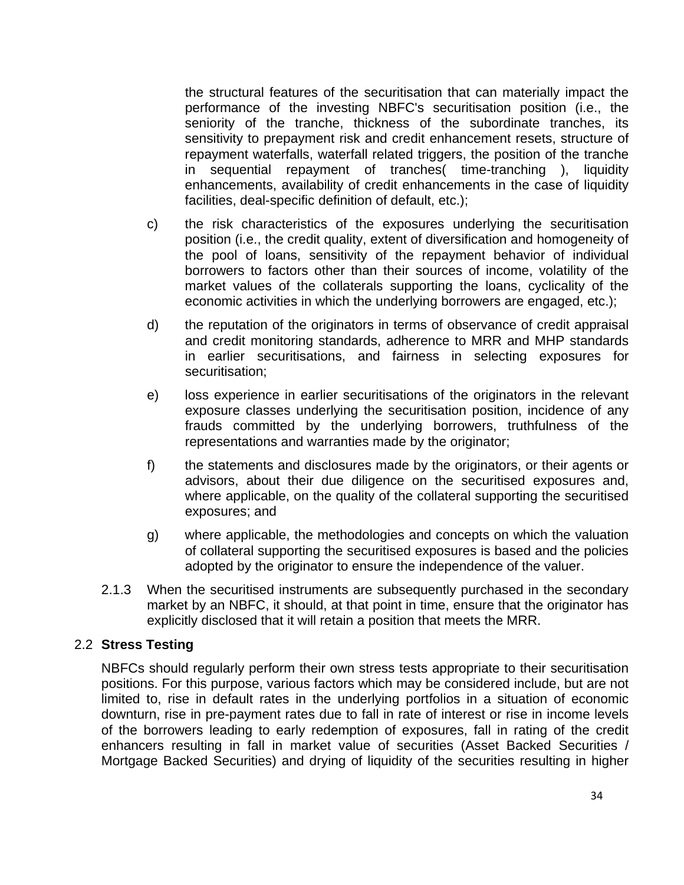the structural features of the securitisation that can materially impact the performance of the investing NBFC's securitisation position (i.e., the seniority of the tranche, thickness of the subordinate tranches, its sensitivity to prepayment risk and credit enhancement resets, structure of repayment waterfalls, waterfall related triggers, the position of the tranche in sequential repayment of tranches( time-tranching ), liquidity enhancements, availability of credit enhancements in the case of liquidity facilities, deal-specific definition of default, etc.);

- c) the risk characteristics of the exposures underlying the securitisation position (i.e., the credit quality, extent of diversification and homogeneity of the pool of loans, sensitivity of the repayment behavior of individual borrowers to factors other than their sources of income, volatility of the market values of the collaterals supporting the loans, cyclicality of the economic activities in which the underlying borrowers are engaged, etc.);
- d) the reputation of the originators in terms of observance of credit appraisal and credit monitoring standards, adherence to MRR and MHP standards in earlier securitisations, and fairness in selecting exposures for securitisation;
- e) loss experience in earlier securitisations of the originators in the relevant exposure classes underlying the securitisation position, incidence of any frauds committed by the underlying borrowers, truthfulness of the representations and warranties made by the originator;
- f) the statements and disclosures made by the originators, or their agents or advisors, about their due diligence on the securitised exposures and, where applicable, on the quality of the collateral supporting the securitised exposures; and
- g) where applicable, the methodologies and concepts on which the valuation of collateral supporting the securitised exposures is based and the policies adopted by the originator to ensure the independence of the valuer.
- 2.1.3 When the securitised instruments are subsequently purchased in the secondary market by an NBFC, it should, at that point in time, ensure that the originator has explicitly disclosed that it will retain a position that meets the MRR.

#### 2.2 **Stress Testing**

 NBFCs should regularly perform their own stress tests appropriate to their securitisation positions. For this purpose, various factors which may be considered include, but are not limited to, rise in default rates in the underlying portfolios in a situation of economic downturn, rise in pre-payment rates due to fall in rate of interest or rise in income levels of the borrowers leading to early redemption of exposures, fall in rating of the credit enhancers resulting in fall in market value of securities (Asset Backed Securities / Mortgage Backed Securities) and drying of liquidity of the securities resulting in higher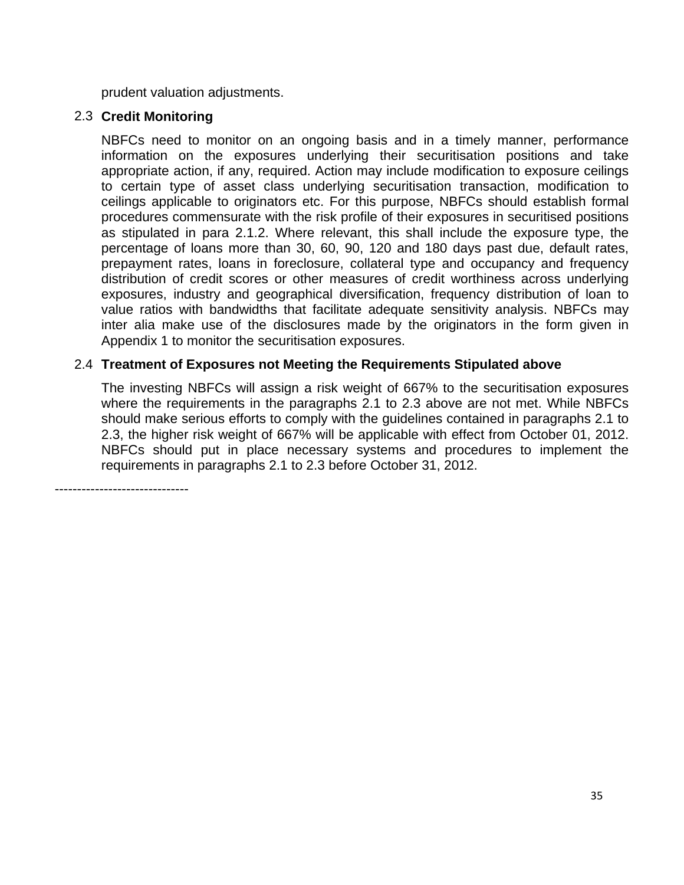prudent valuation adjustments.

#### 2.3 **Credit Monitoring**

 NBFCs need to monitor on an ongoing basis and in a timely manner, performance information on the exposures underlying their securitisation positions and take appropriate action, if any, required. Action may include modification to exposure ceilings to certain type of asset class underlying securitisation transaction, modification to ceilings applicable to originators etc. For this purpose, NBFCs should establish formal procedures commensurate with the risk profile of their exposures in securitised positions as stipulated in para 2.1.2. Where relevant, this shall include the exposure type, the percentage of loans more than 30, 60, 90, 120 and 180 days past due, default rates, prepayment rates, loans in foreclosure, collateral type and occupancy and frequency distribution of credit scores or other measures of credit worthiness across underlying exposures, industry and geographical diversification, frequency distribution of loan to value ratios with bandwidths that facilitate adequate sensitivity analysis. NBFCs may inter alia make use of the disclosures made by the originators in the form given in Appendix 1 to monitor the securitisation exposures.

## 2.4 **Treatment of Exposures not Meeting the Requirements Stipulated above**

 The investing NBFCs will assign a risk weight of 667% to the securitisation exposures where the requirements in the paragraphs 2.1 to 2.3 above are not met. While NBFCs should make serious efforts to comply with the guidelines contained in paragraphs 2.1 to 2.3, the higher risk weight of 667% will be applicable with effect from October 01, 2012. NBFCs should put in place necessary systems and procedures to implement the requirements in paragraphs 2.1 to 2.3 before October 31, 2012.

------------------------------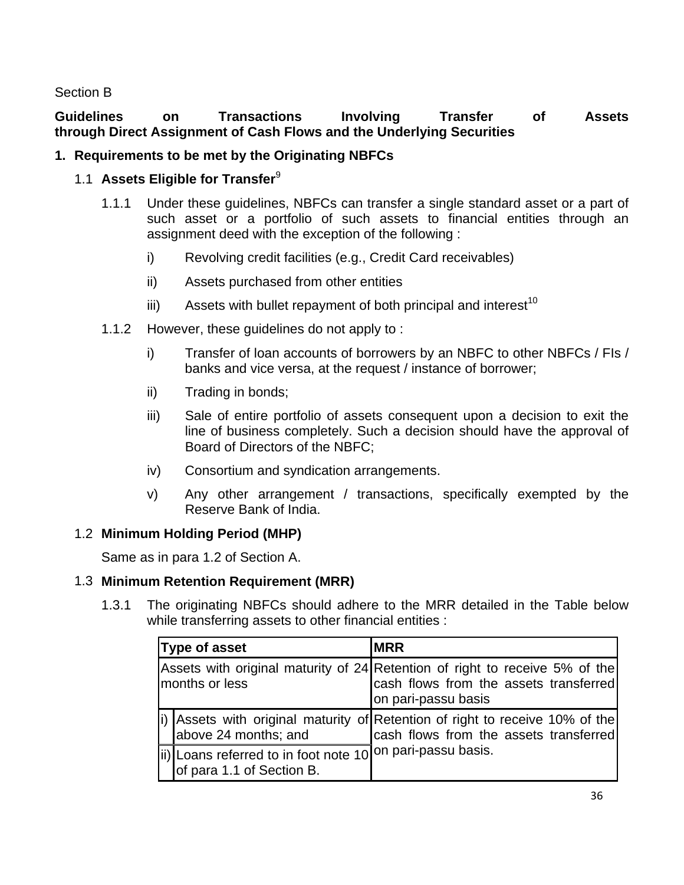Section B

## **Guidelines on Transactions Involving Transfer of Assets through Direct Assignment of Cash Flows and the Underlying Securities**

## **1. Requirements to be met by the Originating NBFCs**

## 1.1 **Assets Eligible for Transfer**<sup>9</sup>

- 1.1.1 Under these guidelines, NBFCs can transfer a single standard asset or a part of such asset or a portfolio of such assets to financial entities through an assignment deed with the exception of the following :
	- i) Revolving credit facilities (e.g., Credit Card receivables)
	- ii) Assets purchased from other entities
	- iii) Assets with bullet repayment of both principal and interest<sup>10</sup>
- 1.1.2 However, these guidelines do not apply to :
	- i) Transfer of loan accounts of borrowers by an NBFC to other NBFCs / FIs / banks and vice versa, at the request / instance of borrower;
	- ii) Trading in bonds;
	- iii) Sale of entire portfolio of assets consequent upon a decision to exit the line of business completely. Such a decision should have the approval of Board of Directors of the NBFC;
	- iv) Consortium and syndication arrangements.
	- v) Any other arrangement / transactions, specifically exempted by the Reserve Bank of India.

## 1.2 **Minimum Holding Period (MHP)**

Same as in para 1.2 of Section A.

## 1.3 **Minimum Retention Requirement (MRR)**

 1.3.1 The originating NBFCs should adhere to the MRR detailed in the Table below while transferring assets to other financial entities :

| <b>Type of asset</b>                                                                     | <b>MRR</b>                                                                                                                                    |  |  |  |
|------------------------------------------------------------------------------------------|-----------------------------------------------------------------------------------------------------------------------------------------------|--|--|--|
| months or less                                                                           | Assets with original maturity of 24 Retention of right to receive 5% of the<br>cash flows from the assets transferred<br>∥on pari-passu basis |  |  |  |
| above 24 months; and                                                                     | i) Assets with original maturity of Retention of right to receive 10% of the<br>cash flows from the assets transferred                        |  |  |  |
| lii) Loans referred to in foot note 10 on pari-passu basis.<br>of para 1.1 of Section B. |                                                                                                                                               |  |  |  |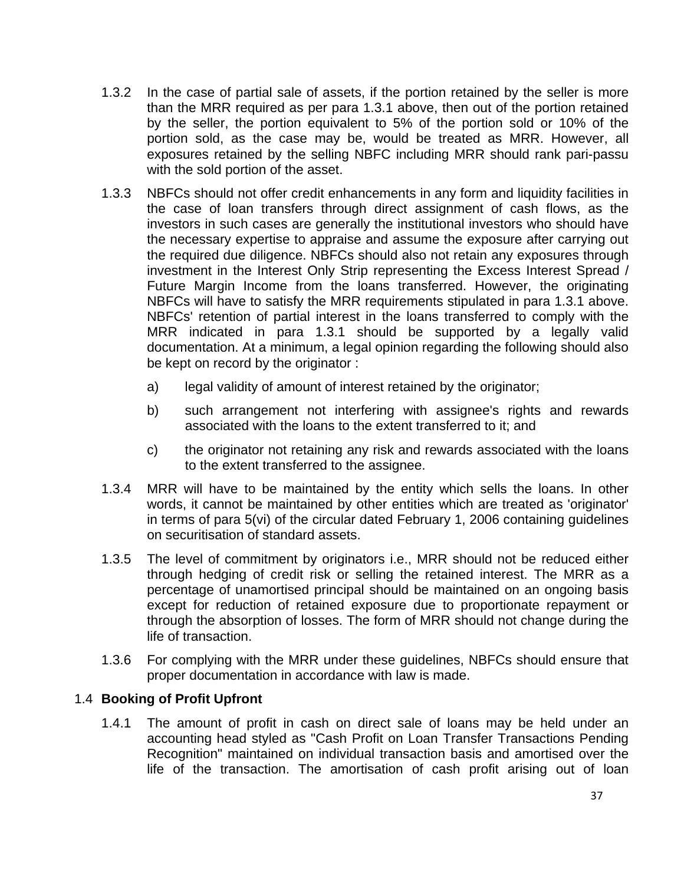- 1.3.2 In the case of partial sale of assets, if the portion retained by the seller is more than the MRR required as per para 1.3.1 above, then out of the portion retained by the seller, the portion equivalent to 5% of the portion sold or 10% of the portion sold, as the case may be, would be treated as MRR. However, all exposures retained by the selling NBFC including MRR should rank pari-passu with the sold portion of the asset.
- 1.3.3 NBFCs should not offer credit enhancements in any form and liquidity facilities in the case of loan transfers through direct assignment of cash flows, as the investors in such cases are generally the institutional investors who should have the necessary expertise to appraise and assume the exposure after carrying out the required due diligence. NBFCs should also not retain any exposures through investment in the Interest Only Strip representing the Excess Interest Spread / Future Margin Income from the loans transferred. However, the originating NBFCs will have to satisfy the MRR requirements stipulated in para 1.3.1 above. NBFCs' retention of partial interest in the loans transferred to comply with the MRR indicated in para 1.3.1 should be supported by a legally valid documentation. At a minimum, a legal opinion regarding the following should also be kept on record by the originator :
	- a) legal validity of amount of interest retained by the originator;
	- b) such arrangement not interfering with assignee's rights and rewards associated with the loans to the extent transferred to it; and
	- c) the originator not retaining any risk and rewards associated with the loans to the extent transferred to the assignee.
- 1.3.4 MRR will have to be maintained by the entity which sells the loans. In other words, it cannot be maintained by other entities which are treated as 'originator' in terms of para 5(vi) of the circular dated February 1, 2006 containing guidelines on securitisation of standard assets.
- 1.3.5 The level of commitment by originators i.e., MRR should not be reduced either through hedging of credit risk or selling the retained interest. The MRR as a percentage of unamortised principal should be maintained on an ongoing basis except for reduction of retained exposure due to proportionate repayment or through the absorption of losses. The form of MRR should not change during the life of transaction.
- 1.3.6 For complying with the MRR under these guidelines, NBFCs should ensure that proper documentation in accordance with law is made.

#### 1.4 **Booking of Profit Upfront**

 1.4.1 The amount of profit in cash on direct sale of loans may be held under an accounting head styled as "Cash Profit on Loan Transfer Transactions Pending Recognition" maintained on individual transaction basis and amortised over the life of the transaction. The amortisation of cash profit arising out of loan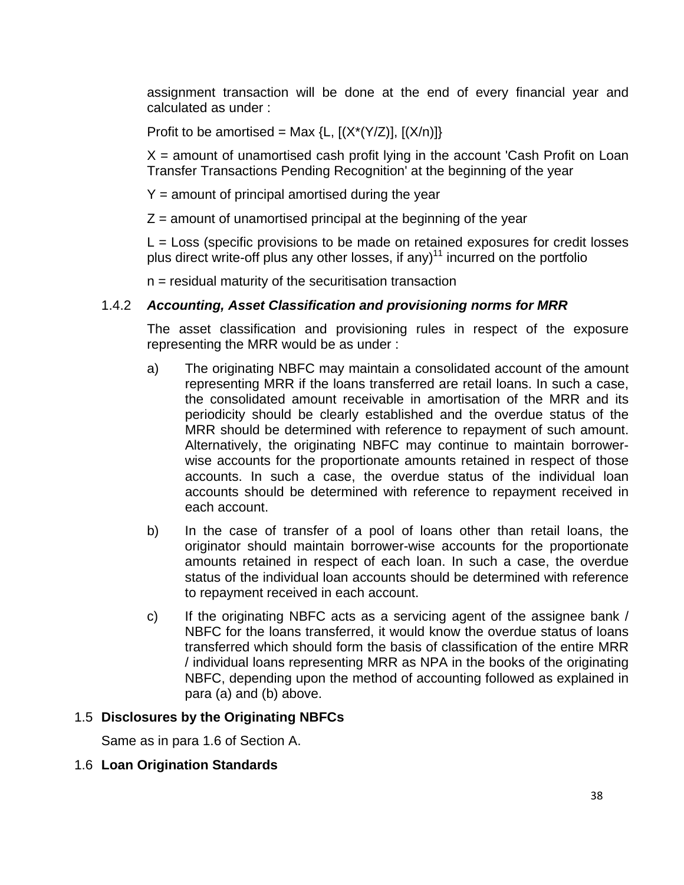assignment transaction will be done at the end of every financial year and calculated as under :

Profit to be amortised = Max {L,  $[(X^*(Y/Z)], [(X/n)]\}$ 

 $X =$  amount of unamortised cash profit lying in the account 'Cash Profit on Loan Transfer Transactions Pending Recognition' at the beginning of the year

 $Y =$  amount of principal amortised during the year

 $Z =$  amount of unamortised principal at the beginning of the year

 $L = Loss$  (specific provisions to be made on retained exposures for credit losses plus direct write-off plus any other losses, if any)<sup>11</sup> incurred on the portfolio

 $n =$  residual maturity of the securitisation transaction

#### 1.4.2 *Accounting, Asset Classification and provisioning norms for MRR*

 The asset classification and provisioning rules in respect of the exposure representing the MRR would be as under :

- a) The originating NBFC may maintain a consolidated account of the amount representing MRR if the loans transferred are retail loans. In such a case, the consolidated amount receivable in amortisation of the MRR and its periodicity should be clearly established and the overdue status of the MRR should be determined with reference to repayment of such amount. Alternatively, the originating NBFC may continue to maintain borrowerwise accounts for the proportionate amounts retained in respect of those accounts. In such a case, the overdue status of the individual loan accounts should be determined with reference to repayment received in each account.
- b) In the case of transfer of a pool of loans other than retail loans, the originator should maintain borrower-wise accounts for the proportionate amounts retained in respect of each loan. In such a case, the overdue status of the individual loan accounts should be determined with reference to repayment received in each account.
- c) If the originating NBFC acts as a servicing agent of the assignee bank / NBFC for the loans transferred, it would know the overdue status of loans transferred which should form the basis of classification of the entire MRR / individual loans representing MRR as NPA in the books of the originating NBFC, depending upon the method of accounting followed as explained in para (a) and (b) above.

#### 1.5 **Disclosures by the Originating NBFCs**

Same as in para 1.6 of Section A.

#### 1.6 **Loan Origination Standards**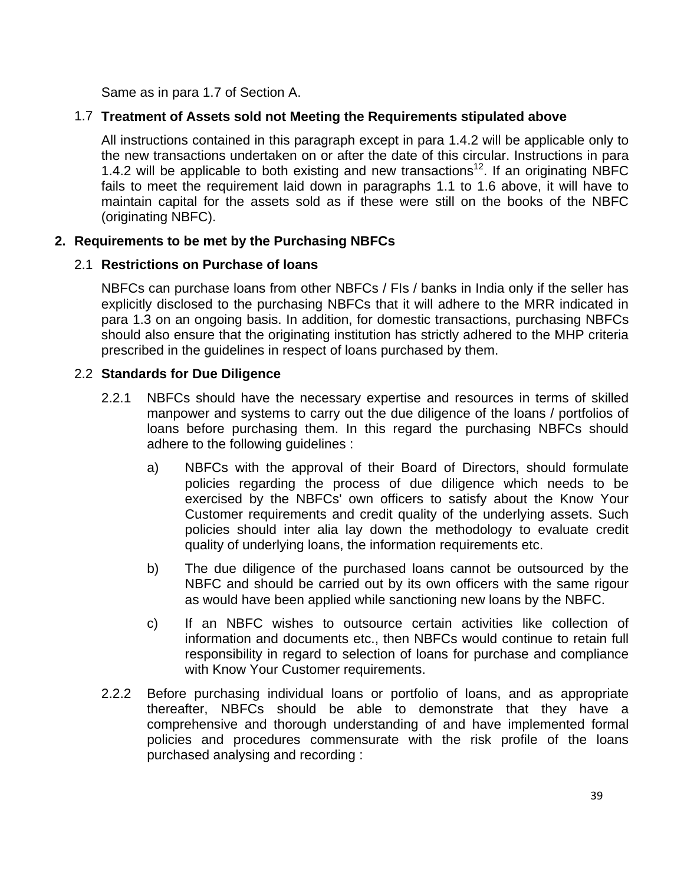Same as in para 1.7 of Section A.

## 1.7 **Treatment of Assets sold not Meeting the Requirements stipulated above**

 All instructions contained in this paragraph except in para 1.4.2 will be applicable only to the new transactions undertaken on or after the date of this circular. Instructions in para 1.4.2 will be applicable to both existing and new transactions<sup>12</sup>. If an originating NBFC fails to meet the requirement laid down in paragraphs 1.1 to 1.6 above, it will have to maintain capital for the assets sold as if these were still on the books of the NBFC (originating NBFC).

## **2. Requirements to be met by the Purchasing NBFCs**

#### 2.1 **Restrictions on Purchase of loans**

 NBFCs can purchase loans from other NBFCs / FIs / banks in India only if the seller has explicitly disclosed to the purchasing NBFCs that it will adhere to the MRR indicated in para 1.3 on an ongoing basis. In addition, for domestic transactions, purchasing NBFCs should also ensure that the originating institution has strictly adhered to the MHP criteria prescribed in the guidelines in respect of loans purchased by them.

#### 2.2 **Standards for Due Diligence**

- 2.2.1 NBFCs should have the necessary expertise and resources in terms of skilled manpower and systems to carry out the due diligence of the loans / portfolios of loans before purchasing them. In this regard the purchasing NBFCs should adhere to the following guidelines :
	- a) NBFCs with the approval of their Board of Directors, should formulate policies regarding the process of due diligence which needs to be exercised by the NBFCs' own officers to satisfy about the Know Your Customer requirements and credit quality of the underlying assets. Such policies should inter alia lay down the methodology to evaluate credit quality of underlying loans, the information requirements etc.
	- b) The due diligence of the purchased loans cannot be outsourced by the NBFC and should be carried out by its own officers with the same rigour as would have been applied while sanctioning new loans by the NBFC.
	- c) If an NBFC wishes to outsource certain activities like collection of information and documents etc., then NBFCs would continue to retain full responsibility in regard to selection of loans for purchase and compliance with Know Your Customer requirements.
- 2.2.2 Before purchasing individual loans or portfolio of loans, and as appropriate thereafter, NBFCs should be able to demonstrate that they have a comprehensive and thorough understanding of and have implemented formal policies and procedures commensurate with the risk profile of the loans purchased analysing and recording :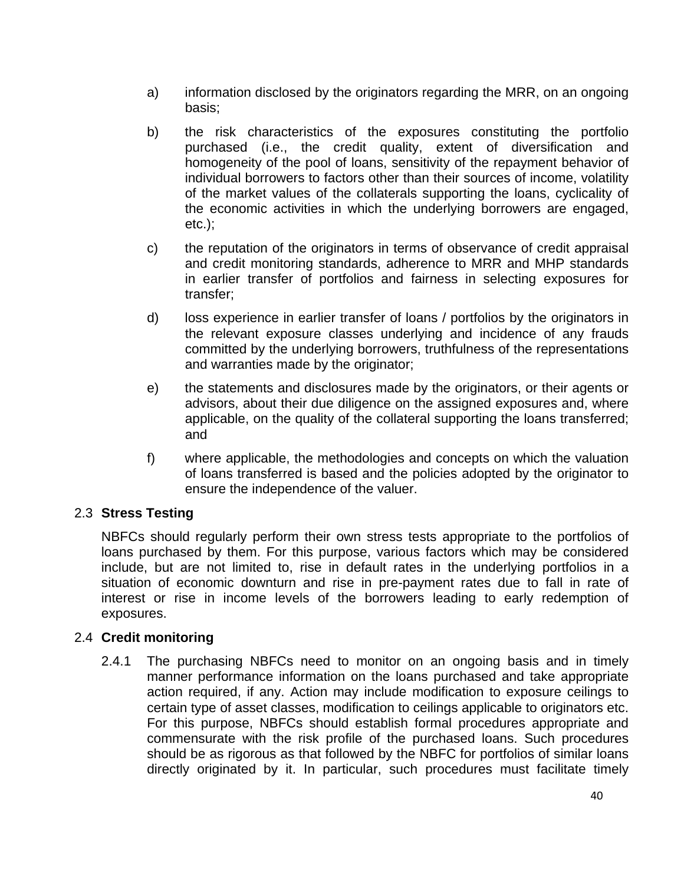- a) information disclosed by the originators regarding the MRR, on an ongoing basis;
- b) the risk characteristics of the exposures constituting the portfolio purchased (i.e., the credit quality, extent of diversification and homogeneity of the pool of loans, sensitivity of the repayment behavior of individual borrowers to factors other than their sources of income, volatility of the market values of the collaterals supporting the loans, cyclicality of the economic activities in which the underlying borrowers are engaged, etc.);
- c) the reputation of the originators in terms of observance of credit appraisal and credit monitoring standards, adherence to MRR and MHP standards in earlier transfer of portfolios and fairness in selecting exposures for transfer;
- d) loss experience in earlier transfer of loans / portfolios by the originators in the relevant exposure classes underlying and incidence of any frauds committed by the underlying borrowers, truthfulness of the representations and warranties made by the originator;
- e) the statements and disclosures made by the originators, or their agents or advisors, about their due diligence on the assigned exposures and, where applicable, on the quality of the collateral supporting the loans transferred; and
- f) where applicable, the methodologies and concepts on which the valuation of loans transferred is based and the policies adopted by the originator to ensure the independence of the valuer.

#### 2.3 **Stress Testing**

 NBFCs should regularly perform their own stress tests appropriate to the portfolios of loans purchased by them. For this purpose, various factors which may be considered include, but are not limited to, rise in default rates in the underlying portfolios in a situation of economic downturn and rise in pre-payment rates due to fall in rate of interest or rise in income levels of the borrowers leading to early redemption of exposures.

#### 2.4 **Credit monitoring**

 2.4.1 The purchasing NBFCs need to monitor on an ongoing basis and in timely manner performance information on the loans purchased and take appropriate action required, if any. Action may include modification to exposure ceilings to certain type of asset classes, modification to ceilings applicable to originators etc. For this purpose, NBFCs should establish formal procedures appropriate and commensurate with the risk profile of the purchased loans. Such procedures should be as rigorous as that followed by the NBFC for portfolios of similar loans directly originated by it. In particular, such procedures must facilitate timely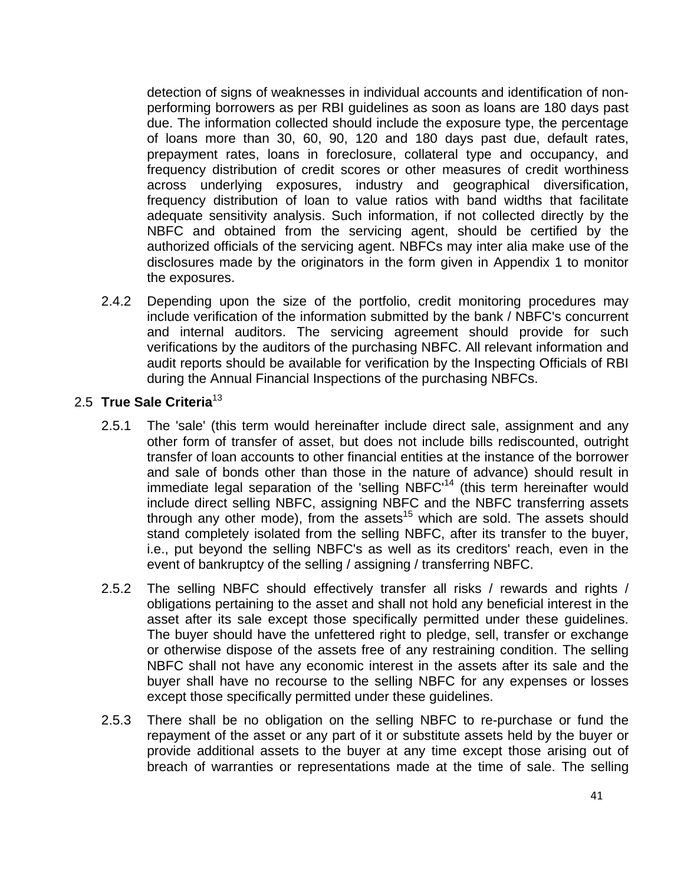detection of signs of weaknesses in individual accounts and identification of nonperforming borrowers as per RBI guidelines as soon as loans are 180 days past due. The information collected should include the exposure type, the percentage of loans more than 30, 60, 90, 120 and 180 days past due, default rates, prepayment rates, loans in foreclosure, collateral type and occupancy, and frequency distribution of credit scores or other measures of credit worthiness across underlying exposures, industry and geographical diversification, frequency distribution of loan to value ratios with band widths that facilitate adequate sensitivity analysis. Such information, if not collected directly by the NBFC and obtained from the servicing agent, should be certified by the authorized officials of the servicing agent. NBFCs may inter alia make use of the disclosures made by the originators in the form given in Appendix 1 to monitor the exposures.

 2.4.2 Depending upon the size of the portfolio, credit monitoring procedures may include verification of the information submitted by the bank / NBFC's concurrent and internal auditors. The servicing agreement should provide for such verifications by the auditors of the purchasing NBFC. All relevant information and audit reports should be available for verification by the Inspecting Officials of RBI during the Annual Financial Inspections of the purchasing NBFCs.

#### 2.5 **True Sale Criteria**<sup>13</sup>

- 2.5.1 The 'sale' (this term would hereinafter include direct sale, assignment and any other form of transfer of asset, but does not include bills rediscounted, outright transfer of loan accounts to other financial entities at the instance of the borrower and sale of bonds other than those in the nature of advance) should result in immediate legal separation of the 'selling  $NBFC<sup>14</sup>$  (this term hereinafter would include direct selling NBFC, assigning NBFC and the NBFC transferring assets through any other mode), from the assets<sup>15</sup> which are sold. The assets should stand completely isolated from the selling NBFC, after its transfer to the buyer, i.e., put beyond the selling NBFC's as well as its creditors' reach, even in the event of bankruptcy of the selling / assigning / transferring NBFC.
- 2.5.2 The selling NBFC should effectively transfer all risks / rewards and rights / obligations pertaining to the asset and shall not hold any beneficial interest in the asset after its sale except those specifically permitted under these guidelines. The buyer should have the unfettered right to pledge, sell, transfer or exchange or otherwise dispose of the assets free of any restraining condition. The selling NBFC shall not have any economic interest in the assets after its sale and the buyer shall have no recourse to the selling NBFC for any expenses or losses except those specifically permitted under these guidelines.
- 2.5.3 There shall be no obligation on the selling NBFC to re-purchase or fund the repayment of the asset or any part of it or substitute assets held by the buyer or provide additional assets to the buyer at any time except those arising out of breach of warranties or representations made at the time of sale. The selling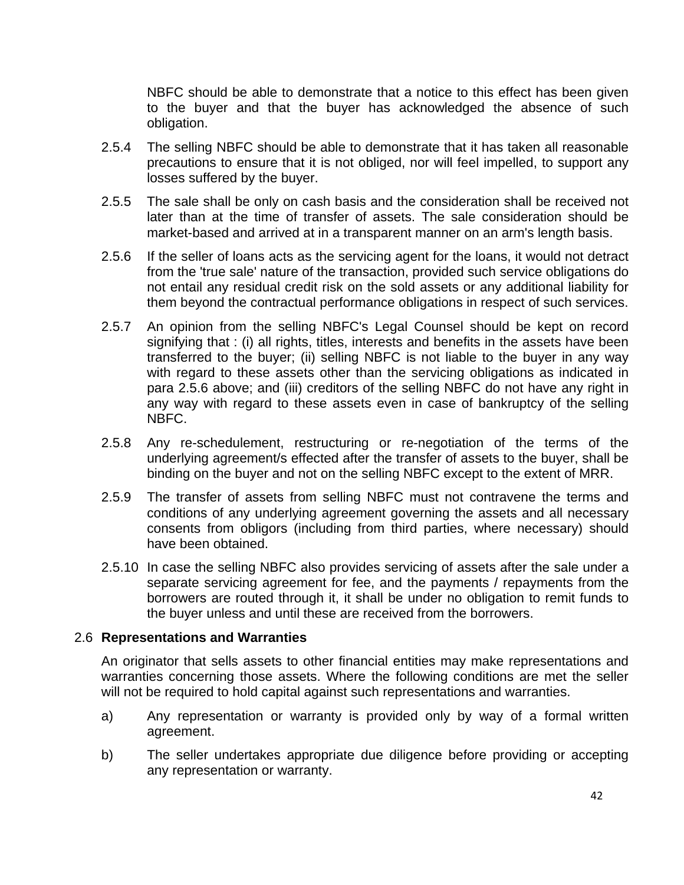NBFC should be able to demonstrate that a notice to this effect has been given to the buyer and that the buyer has acknowledged the absence of such obligation.

- 2.5.4 The selling NBFC should be able to demonstrate that it has taken all reasonable precautions to ensure that it is not obliged, nor will feel impelled, to support any losses suffered by the buyer.
- 2.5.5 The sale shall be only on cash basis and the consideration shall be received not later than at the time of transfer of assets. The sale consideration should be market-based and arrived at in a transparent manner on an arm's length basis.
- 2.5.6 If the seller of loans acts as the servicing agent for the loans, it would not detract from the 'true sale' nature of the transaction, provided such service obligations do not entail any residual credit risk on the sold assets or any additional liability for them beyond the contractual performance obligations in respect of such services.
- 2.5.7 An opinion from the selling NBFC's Legal Counsel should be kept on record signifying that : (i) all rights, titles, interests and benefits in the assets have been transferred to the buyer; (ii) selling NBFC is not liable to the buyer in any way with regard to these assets other than the servicing obligations as indicated in para 2.5.6 above; and (iii) creditors of the selling NBFC do not have any right in any way with regard to these assets even in case of bankruptcy of the selling NBFC.
- 2.5.8 Any re-schedulement, restructuring or re-negotiation of the terms of the underlying agreement/s effected after the transfer of assets to the buyer, shall be binding on the buyer and not on the selling NBFC except to the extent of MRR.
- 2.5.9 The transfer of assets from selling NBFC must not contravene the terms and conditions of any underlying agreement governing the assets and all necessary consents from obligors (including from third parties, where necessary) should have been obtained.
- 2.5.10 In case the selling NBFC also provides servicing of assets after the sale under a separate servicing agreement for fee, and the payments / repayments from the borrowers are routed through it, it shall be under no obligation to remit funds to the buyer unless and until these are received from the borrowers.

#### 2.6 **Representations and Warranties**

 An originator that sells assets to other financial entities may make representations and warranties concerning those assets. Where the following conditions are met the seller will not be required to hold capital against such representations and warranties.

- a) Any representation or warranty is provided only by way of a formal written agreement.
- b) The seller undertakes appropriate due diligence before providing or accepting any representation or warranty.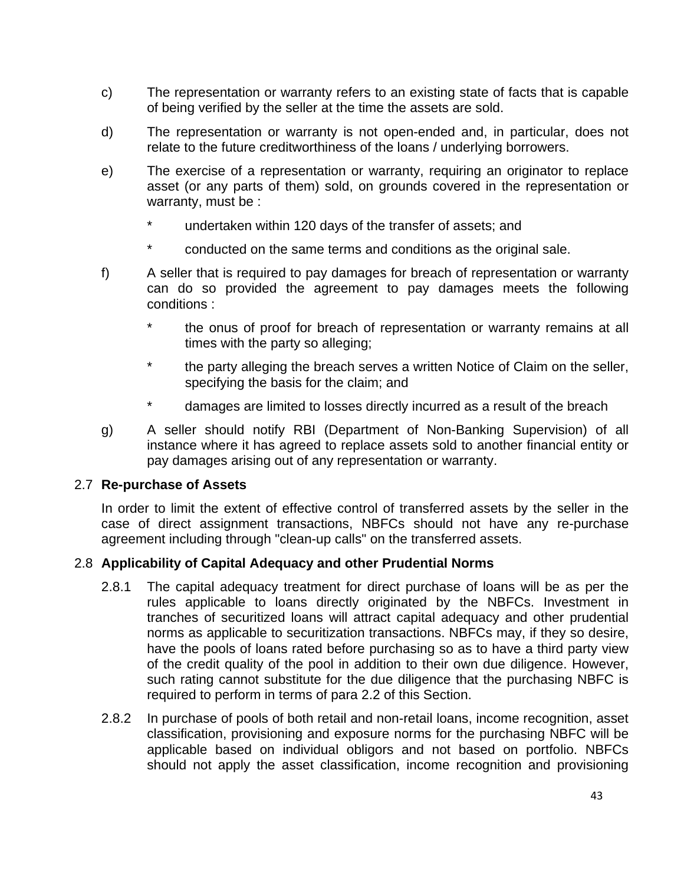- c) The representation or warranty refers to an existing state of facts that is capable of being verified by the seller at the time the assets are sold.
- d) The representation or warranty is not open-ended and, in particular, does not relate to the future creditworthiness of the loans / underlying borrowers.
- e) The exercise of a representation or warranty, requiring an originator to replace asset (or any parts of them) sold, on grounds covered in the representation or warranty, must be :
	- \* undertaken within 120 days of the transfer of assets; and
	- conducted on the same terms and conditions as the original sale.
- f) A seller that is required to pay damages for breach of representation or warranty can do so provided the agreement to pay damages meets the following conditions :
	- the onus of proof for breach of representation or warranty remains at all times with the party so alleging;
	- \* the party alleging the breach serves a written Notice of Claim on the seller, specifying the basis for the claim; and
	- damages are limited to losses directly incurred as a result of the breach
- g) A seller should notify RBI (Department of Non-Banking Supervision) of all instance where it has agreed to replace assets sold to another financial entity or pay damages arising out of any representation or warranty.

#### 2.7 **Re-purchase of Assets**

 In order to limit the extent of effective control of transferred assets by the seller in the case of direct assignment transactions, NBFCs should not have any re-purchase agreement including through "clean-up calls" on the transferred assets.

#### 2.8 **Applicability of Capital Adequacy and other Prudential Norms**

- 2.8.1 The capital adequacy treatment for direct purchase of loans will be as per the rules applicable to loans directly originated by the NBFCs. Investment in tranches of securitized loans will attract capital adequacy and other prudential norms as applicable to securitization transactions. NBFCs may, if they so desire, have the pools of loans rated before purchasing so as to have a third party view of the credit quality of the pool in addition to their own due diligence. However, such rating cannot substitute for the due diligence that the purchasing NBFC is required to perform in terms of para 2.2 of this Section.
- 2.8.2 In purchase of pools of both retail and non-retail loans, income recognition, asset classification, provisioning and exposure norms for the purchasing NBFC will be applicable based on individual obligors and not based on portfolio. NBFCs should not apply the asset classification, income recognition and provisioning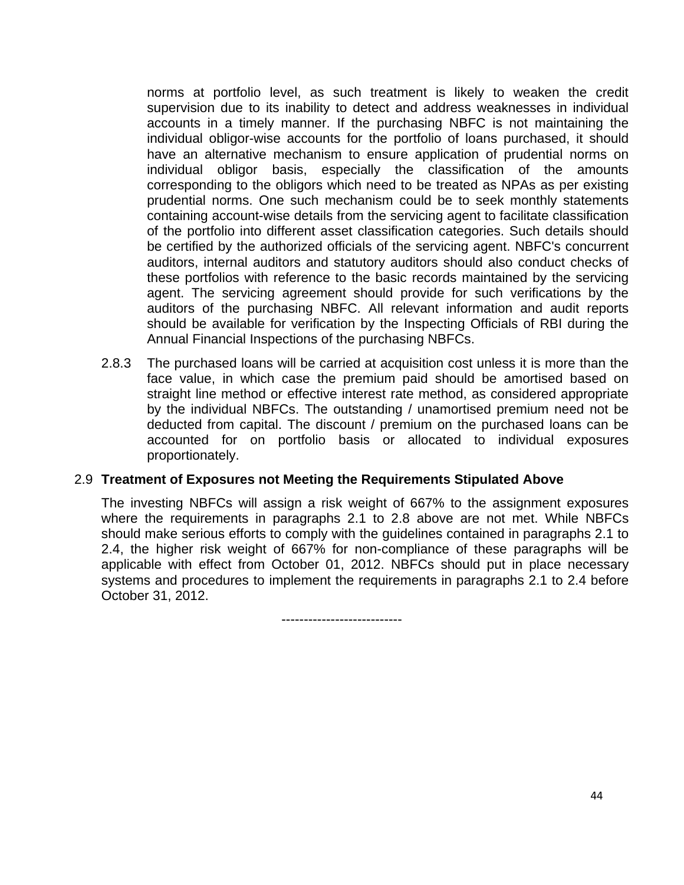norms at portfolio level, as such treatment is likely to weaken the credit supervision due to its inability to detect and address weaknesses in individual accounts in a timely manner. If the purchasing NBFC is not maintaining the individual obligor-wise accounts for the portfolio of loans purchased, it should have an alternative mechanism to ensure application of prudential norms on individual obligor basis, especially the classification of the amounts corresponding to the obligors which need to be treated as NPAs as per existing prudential norms. One such mechanism could be to seek monthly statements containing account-wise details from the servicing agent to facilitate classification of the portfolio into different asset classification categories. Such details should be certified by the authorized officials of the servicing agent. NBFC's concurrent auditors, internal auditors and statutory auditors should also conduct checks of these portfolios with reference to the basic records maintained by the servicing agent. The servicing agreement should provide for such verifications by the auditors of the purchasing NBFC. All relevant information and audit reports should be available for verification by the Inspecting Officials of RBI during the Annual Financial Inspections of the purchasing NBFCs.

 2.8.3 The purchased loans will be carried at acquisition cost unless it is more than the face value, in which case the premium paid should be amortised based on straight line method or effective interest rate method, as considered appropriate by the individual NBFCs. The outstanding / unamortised premium need not be deducted from capital. The discount / premium on the purchased loans can be accounted for on portfolio basis or allocated to individual exposures proportionately.

#### 2.9 **Treatment of Exposures not Meeting the Requirements Stipulated Above**

 The investing NBFCs will assign a risk weight of 667% to the assignment exposures where the requirements in paragraphs 2.1 to 2.8 above are not met. While NBFCs should make serious efforts to comply with the guidelines contained in paragraphs 2.1 to 2.4, the higher risk weight of 667% for non-compliance of these paragraphs will be applicable with effect from October 01, 2012. NBFCs should put in place necessary systems and procedures to implement the requirements in paragraphs 2.1 to 2.4 before October 31, 2012.

---------------------------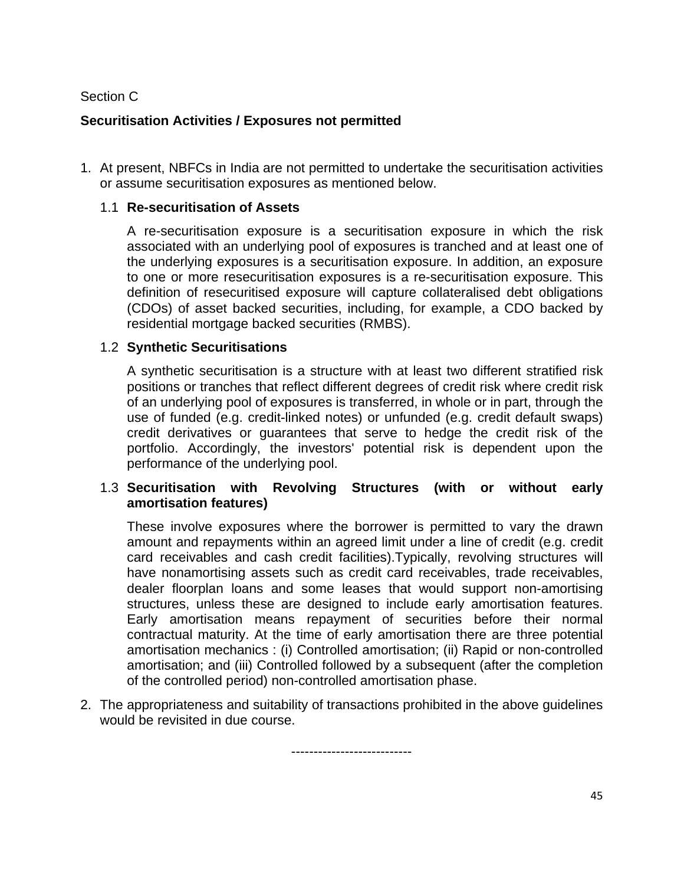## Section C

## **Securitisation Activities / Exposures not permitted**

1. At present, NBFCs in India are not permitted to undertake the securitisation activities or assume securitisation exposures as mentioned below.

#### 1.1 **Re-securitisation of Assets**

 A re-securitisation exposure is a securitisation exposure in which the risk associated with an underlying pool of exposures is tranched and at least one of the underlying exposures is a securitisation exposure. In addition, an exposure to one or more resecuritisation exposures is a re-securitisation exposure. This definition of resecuritised exposure will capture collateralised debt obligations (CDOs) of asset backed securities, including, for example, a CDO backed by residential mortgage backed securities (RMBS).

#### 1.2 **Synthetic Securitisations**

 A synthetic securitisation is a structure with at least two different stratified risk positions or tranches that reflect different degrees of credit risk where credit risk of an underlying pool of exposures is transferred, in whole or in part, through the use of funded (e.g. credit-linked notes) or unfunded (e.g. credit default swaps) credit derivatives or guarantees that serve to hedge the credit risk of the portfolio. Accordingly, the investors' potential risk is dependent upon the performance of the underlying pool.

#### 1.3 **Securitisation with Revolving Structures (with or without early amortisation features)**

 These involve exposures where the borrower is permitted to vary the drawn amount and repayments within an agreed limit under a line of credit (e.g. credit card receivables and cash credit facilities).Typically, revolving structures will have nonamortising assets such as credit card receivables, trade receivables, dealer floorplan loans and some leases that would support non-amortising structures, unless these are designed to include early amortisation features. Early amortisation means repayment of securities before their normal contractual maturity. At the time of early amortisation there are three potential amortisation mechanics : (i) Controlled amortisation; (ii) Rapid or non-controlled amortisation; and (iii) Controlled followed by a subsequent (after the completion of the controlled period) non-controlled amortisation phase.

2. The appropriateness and suitability of transactions prohibited in the above guidelines would be revisited in due course.

---------------------------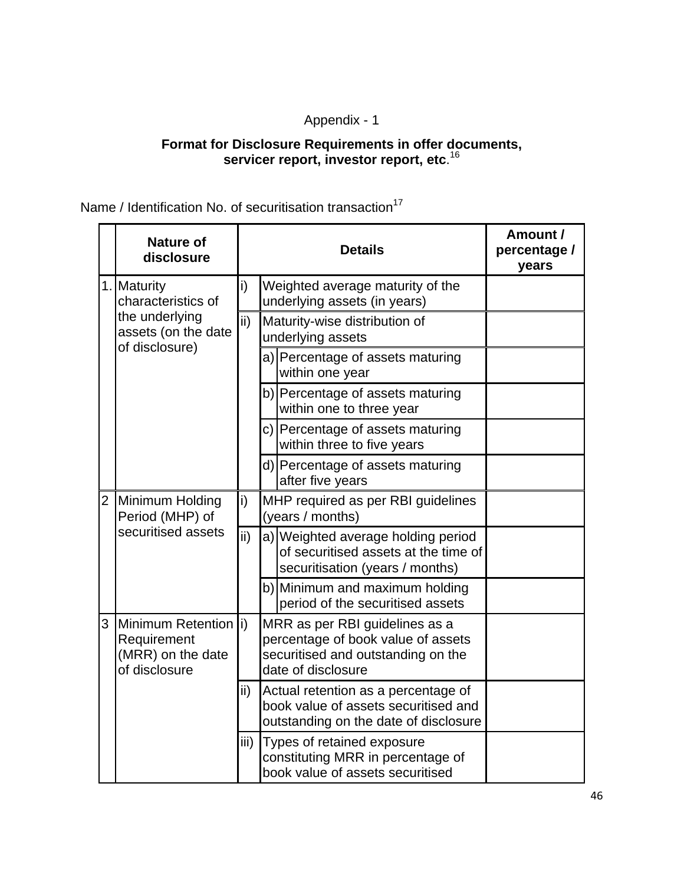## Appendix - 1

#### **Format for Disclosure Requirements in offer documents, servicer report, investor report, etc**. 16

Name / Identification No. of securitisation transaction<sup>17</sup>

|                | <b>Nature of</b><br>disclosure                                             |                                                                                                                             | <b>Details</b>                                                                                                                   | Amount /<br>percentage /<br>years |
|----------------|----------------------------------------------------------------------------|-----------------------------------------------------------------------------------------------------------------------------|----------------------------------------------------------------------------------------------------------------------------------|-----------------------------------|
|                | 1. Maturity<br>characteristics of                                          | i)                                                                                                                          | Weighted average maturity of the<br>underlying assets (in years)                                                                 |                                   |
|                | the underlying<br>assets (on the date<br>of disclosure)                    | $\mathsf{ii}$                                                                                                               | Maturity-wise distribution of<br>underlying assets                                                                               |                                   |
|                |                                                                            |                                                                                                                             | a) Percentage of assets maturing<br>within one year                                                                              |                                   |
|                |                                                                            |                                                                                                                             | b) Percentage of assets maturing<br>within one to three year                                                                     |                                   |
|                |                                                                            |                                                                                                                             | c) Percentage of assets maturing<br>within three to five years                                                                   |                                   |
|                |                                                                            |                                                                                                                             | d) Percentage of assets maturing<br>after five years                                                                             |                                   |
| $\overline{2}$ | Minimum Holding<br>Period (MHP) of                                         |                                                                                                                             | MHP required as per RBI guidelines<br>(years / months)                                                                           |                                   |
|                | securitised assets                                                         | ii)                                                                                                                         | a) Weighted average holding period<br>of securitised assets at the time of<br>securitisation (years / months)                    |                                   |
|                |                                                                            |                                                                                                                             | b) Minimum and maximum holding<br>period of the securitised assets                                                               |                                   |
| 3              | Minimum Retention (i)<br>Requirement<br>(MRR) on the date<br>of disclosure |                                                                                                                             | MRR as per RBI guidelines as a<br>percentage of book value of assets<br>securitised and outstanding on the<br>date of disclosure |                                   |
|                |                                                                            | ii)<br>Actual retention as a percentage of<br>book value of assets securitised and<br>outstanding on the date of disclosure |                                                                                                                                  |                                   |
|                |                                                                            | iii)                                                                                                                        | Types of retained exposure<br>constituting MRR in percentage of<br>book value of assets securitised                              |                                   |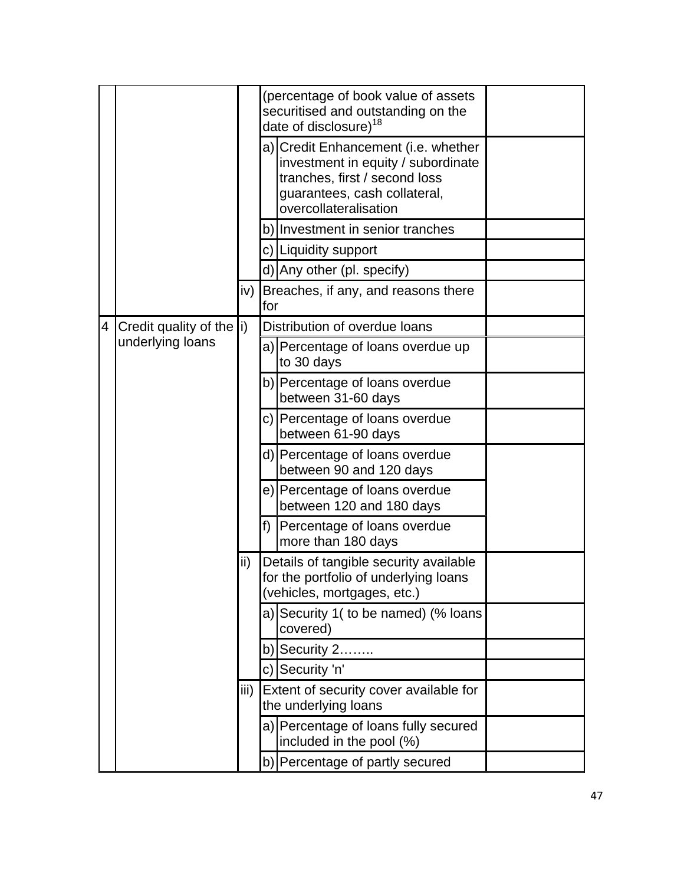|   |                                   |       |     | (percentage of book value of assets<br>securitised and outstanding on the<br>date of disclosure) <sup>18</sup>                                                      |  |
|---|-----------------------------------|-------|-----|---------------------------------------------------------------------------------------------------------------------------------------------------------------------|--|
|   |                                   |       |     | a) Credit Enhancement (i.e. whether<br>investment in equity / subordinate<br>tranches, first / second loss<br>guarantees, cash collateral,<br>overcollateralisation |  |
|   |                                   |       | b)  | Investment in senior tranches                                                                                                                                       |  |
|   |                                   |       |     | c) Liquidity support                                                                                                                                                |  |
|   |                                   |       |     | d) Any other (pl. specify)                                                                                                                                          |  |
|   |                                   | iv) l | for | Breaches, if any, and reasons there                                                                                                                                 |  |
| 4 | Credit quality of the $ i\rangle$ |       |     | Distribution of overdue loans                                                                                                                                       |  |
|   | underlying loans                  |       |     | a) Percentage of loans overdue up<br>to 30 days                                                                                                                     |  |
|   |                                   |       |     | b) Percentage of loans overdue<br>between 31-60 days                                                                                                                |  |
|   |                                   |       |     | c) Percentage of loans overdue<br>between 61-90 days                                                                                                                |  |
|   |                                   |       |     | d) Percentage of loans overdue<br>between 90 and 120 days                                                                                                           |  |
|   |                                   |       | e)  | Percentage of loans overdue<br>between 120 and 180 days                                                                                                             |  |
|   |                                   |       | f)  | Percentage of loans overdue<br>more than 180 days                                                                                                                   |  |
|   |                                   | ii)   |     | Details of tangible security available<br>for the portfolio of underlying loans<br>(vehicles, mortgages, etc.)                                                      |  |
|   |                                   |       | a)  | Security 1( to be named) (% loans<br>covered)                                                                                                                       |  |
|   |                                   |       |     | $b)$ Security 2                                                                                                                                                     |  |
|   |                                   |       |     | c) Security 'n'                                                                                                                                                     |  |
|   |                                   | iii)  |     | Extent of security cover available for<br>the underlying loans                                                                                                      |  |
|   |                                   |       | a)  | Percentage of loans fully secured<br>included in the pool (%)                                                                                                       |  |
|   |                                   |       |     | b) Percentage of partly secured                                                                                                                                     |  |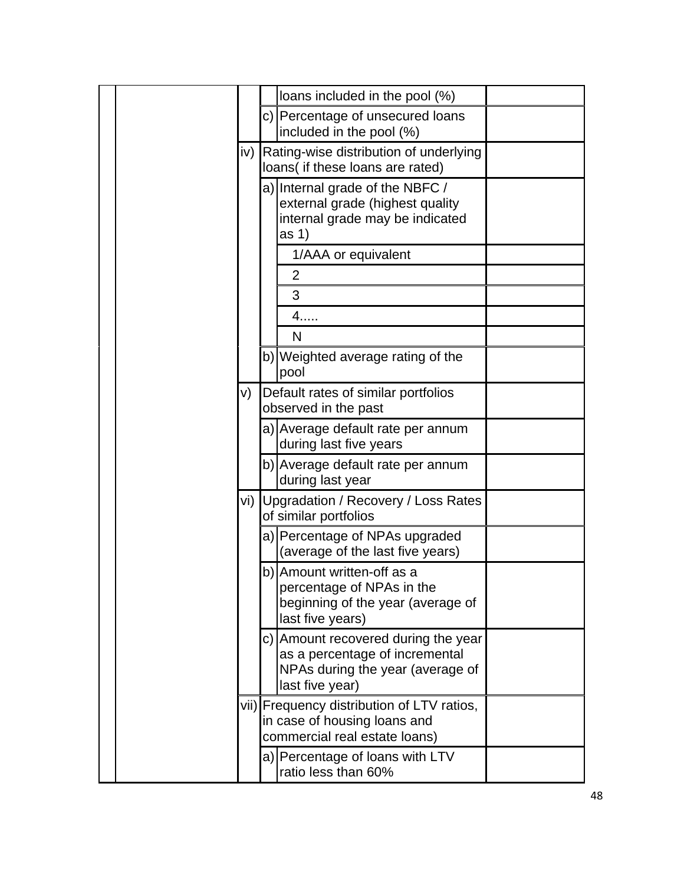|       | loans included in the pool (%)                                                                                               |
|-------|------------------------------------------------------------------------------------------------------------------------------|
|       | c) Percentage of unsecured loans<br>included in the pool (%)                                                                 |
|       | iv) Rating-wise distribution of underlying<br>loans( if these loans are rated)                                               |
|       | a) Internal grade of the NBFC /<br>external grade (highest quality<br>internal grade may be indicated<br>as <sub>1</sub>     |
|       | 1/AAA or equivalent                                                                                                          |
|       | $\overline{2}$                                                                                                               |
|       | 3                                                                                                                            |
|       | 4                                                                                                                            |
|       | N                                                                                                                            |
|       | b) Weighted average rating of the<br>pool                                                                                    |
| V)    | Default rates of similar portfolios<br>observed in the past                                                                  |
|       | a) Average default rate per annum<br>during last five years                                                                  |
|       | b) Average default rate per annum<br>during last year                                                                        |
| vi) I | Upgradation / Recovery / Loss Rates<br>of similar portfolios                                                                 |
|       | a) Percentage of NPAs upgraded<br>(average of the last five years)                                                           |
|       | b) Amount written-off as a<br>percentage of NPAs in the<br>beginning of the year (average of<br>last five years)             |
|       | c) Amount recovered during the year<br>as a percentage of incremental<br>NPAs during the year (average of<br>last five year) |
|       | vii) Frequency distribution of LTV ratios,<br>in case of housing loans and<br>commercial real estate loans)                  |
|       | a) Percentage of loans with LTV<br>ratio less than 60%                                                                       |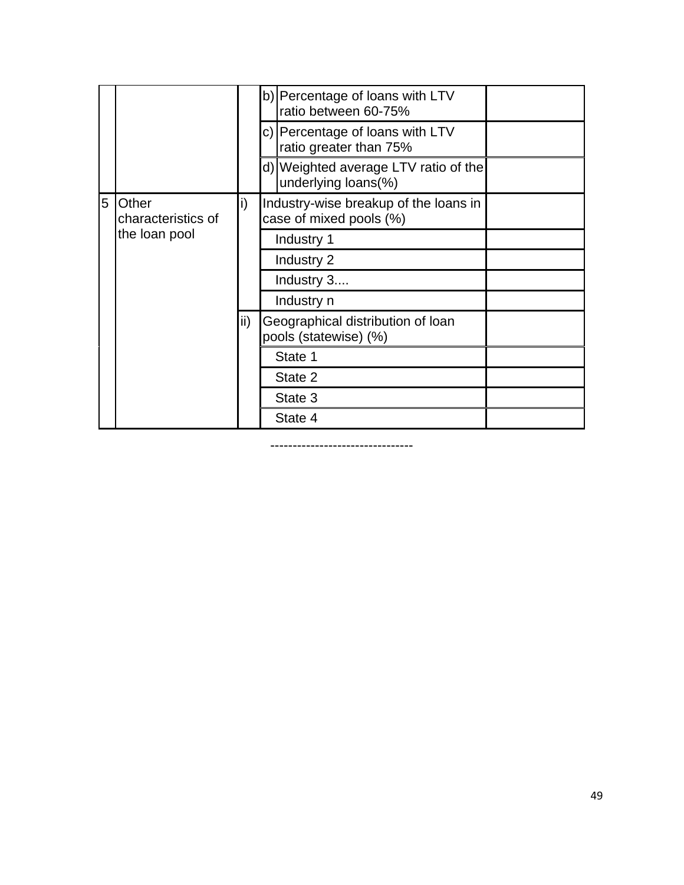|   |                             |     | b) Percentage of loans with LTV<br>ratio between 60-75%          |  |
|---|-----------------------------|-----|------------------------------------------------------------------|--|
|   |                             |     | c) Percentage of loans with LTV<br>ratio greater than 75%        |  |
|   |                             |     | d) Weighted average LTV ratio of the<br>underlying loans(%)      |  |
| 5 | Other<br>characteristics of | i)  | Industry-wise breakup of the loans in<br>case of mixed pools (%) |  |
|   | the loan pool               |     | Industry 1                                                       |  |
|   |                             |     | Industry 2                                                       |  |
|   |                             |     | Industry 3                                                       |  |
|   |                             |     | Industry n                                                       |  |
|   |                             | ii) | Geographical distribution of loan<br>pools (statewise) (%)       |  |
|   |                             |     | State 1                                                          |  |
|   |                             |     | State 2                                                          |  |
|   |                             |     | State 3                                                          |  |
|   |                             |     | State 4                                                          |  |

--------------------------------

49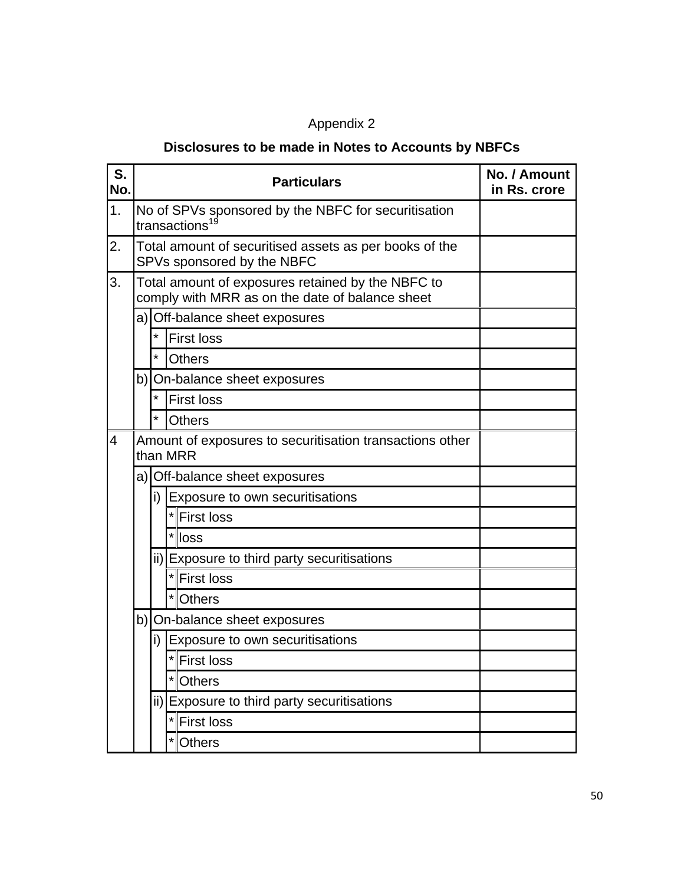## Appendix 2

# **Disclosures to be made in Notes to Accounts by NBFCs**

| S.<br>No.      |         | <b>Particulars</b>                                                                                   | No. / Amount<br>in Rs. crore |
|----------------|---------|------------------------------------------------------------------------------------------------------|------------------------------|
| 1.             |         | No of SPVs sponsored by the NBFC for securitisation<br>transactions <sup>19</sup>                    |                              |
| 2.             |         | Total amount of securitised assets as per books of the<br>SPVs sponsored by the NBFC                 |                              |
| 3.             |         | Total amount of exposures retained by the NBFC to<br>comply with MRR as on the date of balance sheet |                              |
|                |         | a) Off-balance sheet exposures                                                                       |                              |
|                | $\star$ | <b>First loss</b>                                                                                    |                              |
|                | *       | <b>Others</b>                                                                                        |                              |
|                |         | b) On-balance sheet exposures                                                                        |                              |
|                | *       | <b>First loss</b>                                                                                    |                              |
|                | $\star$ | <b>Others</b>                                                                                        |                              |
| $\overline{4}$ |         | Amount of exposures to securitisation transactions other<br>than MRR                                 |                              |
|                |         | a) Off-balance sheet exposures                                                                       |                              |
|                |         | i) Exposure to own securitisations                                                                   |                              |
|                |         | *First loss                                                                                          |                              |
|                |         | *lloss                                                                                               |                              |
|                |         | ii) Exposure to third party securitisations                                                          |                              |
|                |         | *First loss                                                                                          |                              |
|                |         | $\star$<br><b>Others</b>                                                                             |                              |
|                |         | b) On-balance sheet exposures                                                                        |                              |
|                | i)      | Exposure to own securitisations                                                                      |                              |
|                |         | *First loss                                                                                          |                              |
|                |         | <b>Others</b>                                                                                        |                              |
|                |         | ii) Exposure to third party securitisations                                                          |                              |
|                |         | <b>First loss</b>                                                                                    |                              |
|                |         | <b>Others</b>                                                                                        |                              |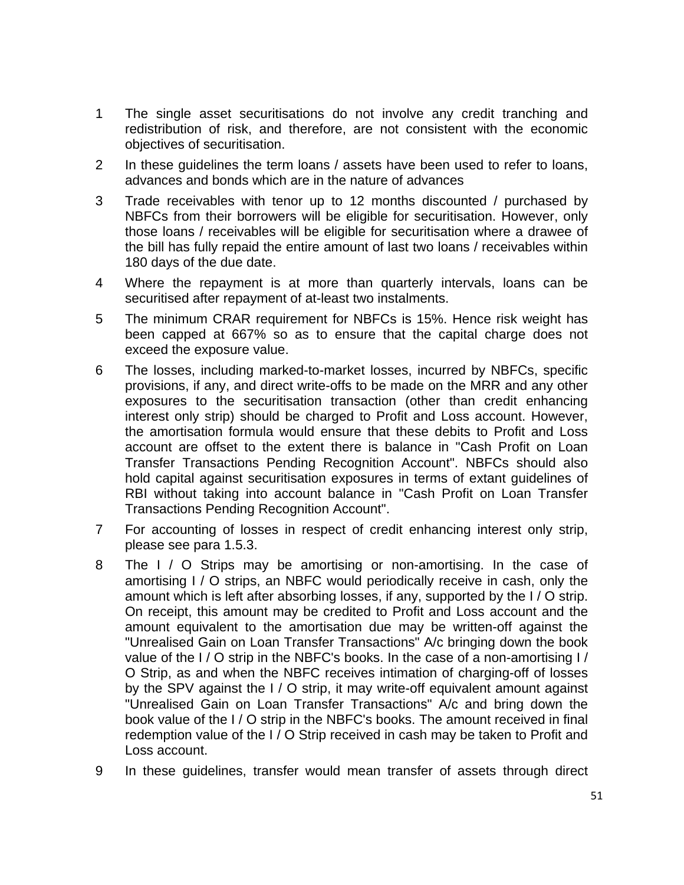- 1 The single asset securitisations do not involve any credit tranching and redistribution of risk, and therefore, are not consistent with the economic objectives of securitisation.
- 2 In these guidelines the term loans / assets have been used to refer to loans, advances and bonds which are in the nature of advances
- 3 Trade receivables with tenor up to 12 months discounted / purchased by NBFCs from their borrowers will be eligible for securitisation. However, only those loans / receivables will be eligible for securitisation where a drawee of the bill has fully repaid the entire amount of last two loans / receivables within 180 days of the due date.
- 4 Where the repayment is at more than quarterly intervals, loans can be securitised after repayment of at-least two instalments.
- 5 The minimum CRAR requirement for NBFCs is 15%. Hence risk weight has been capped at 667% so as to ensure that the capital charge does not exceed the exposure value.
- 6 The losses, including marked-to-market losses, incurred by NBFCs, specific provisions, if any, and direct write-offs to be made on the MRR and any other exposures to the securitisation transaction (other than credit enhancing interest only strip) should be charged to Profit and Loss account. However, the amortisation formula would ensure that these debits to Profit and Loss account are offset to the extent there is balance in "Cash Profit on Loan Transfer Transactions Pending Recognition Account". NBFCs should also hold capital against securitisation exposures in terms of extant guidelines of RBI without taking into account balance in "Cash Profit on Loan Transfer Transactions Pending Recognition Account".
- 7 For accounting of losses in respect of credit enhancing interest only strip, please see para 1.5.3.
- 8 The I / O Strips may be amortising or non-amortising. In the case of amortising I / O strips, an NBFC would periodically receive in cash, only the amount which is left after absorbing losses, if any, supported by the I / O strip. On receipt, this amount may be credited to Profit and Loss account and the amount equivalent to the amortisation due may be written-off against the "Unrealised Gain on Loan Transfer Transactions" A/c bringing down the book value of the I / O strip in the NBFC's books. In the case of a non-amortising I / O Strip, as and when the NBFC receives intimation of charging-off of losses by the SPV against the I / O strip, it may write-off equivalent amount against "Unrealised Gain on Loan Transfer Transactions" A/c and bring down the book value of the I / O strip in the NBFC's books. The amount received in final redemption value of the I / O Strip received in cash may be taken to Profit and Loss account.
- 9 In these guidelines, transfer would mean transfer of assets through direct